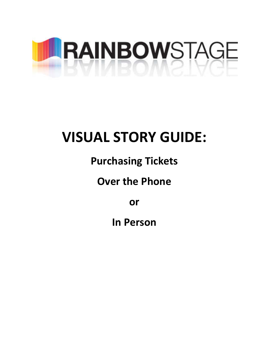

# **VISUAL STORY GUIDE:**

# **Purchasing Tickets**

# **Over the Phone**

**or** 

**In Person**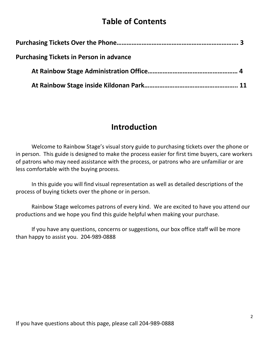#### **Table of Contents**

| <b>Purchasing Tickets in Person in advance</b> |  |
|------------------------------------------------|--|
|                                                |  |
|                                                |  |

#### **Introduction**

Welcome to Rainbow Stage's visual story guide to purchasing tickets over the phone or in person. This guide is designed to make the process easier for first time buyers, care workers of patrons who may need assistance with the process, or patrons who are unfamiliar or are less comfortable with the buying process.

In this guide you will find visual representation as well as detailed descriptions of the process of buying tickets over the phone or in person.

Rainbow Stage welcomes patrons of every kind. We are excited to have you attend our productions and we hope you find this guide helpful when making your purchase.

If you have any questions, concerns or suggestions, our box office staff will be more than happy to assist you. 204-989-0888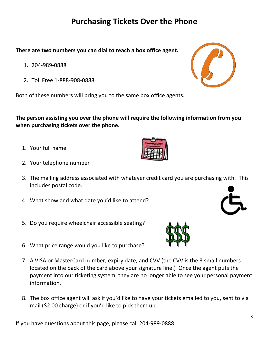## **Purchasing Tickets Over the Phone**

**There are two numbers you can dial to reach a box office agent.**

- 1. 204-989-0888
- 2. Toll Free 1-888-908-0888

Both of these numbers will bring you to the same box office agents.

**The person assisting you over the phone will require the following information from you when purchasing tickets over the phone.**

- 1. Your full name
- 2. Your telephone number
- 3. The mailing address associated with whatever credit card you are purchasing with. This includes postal code.
- 4. What show and what date you'd like to attend?
- 5. Do you require wheelchair accessible seating?
- 6. What price range would you like to purchase?
- 7. A VISA or MasterCard number, expiry date, and CVV (the CVV is the 3 small numbers located on the back of the card above your signature line.) Once the agent puts the payment into our ticketing system, they are no longer able to see your personal payment information.
- 8. The box office agent will ask if you'd like to have your tickets emailed to you, sent to via mail (\$2.00 charge) or if you'd like to pick them up.







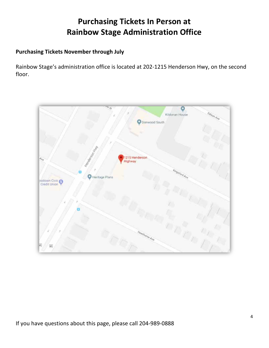## **Purchasing Tickets In Person at Rainbow Stage Administration Office**

#### **Purchasing Tickets November through July**

Rainbow Stage's administration office is located at 202-1215 Henderson Hwy, on the second floor.

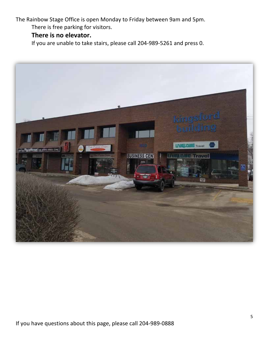The Rainbow Stage Office is open Monday to Friday between 9am and 5pm.

There is free parking for visitors.

#### **There is no elevator.**

If you are unable to take stairs, please call 204-989-5261 and press 0.

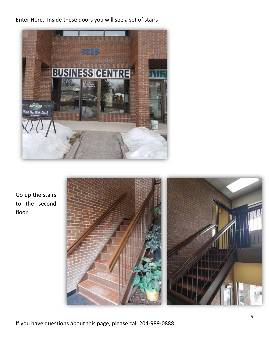Enter Here. Inside these doors you will see a set of stairs



Go up the stairs to the second floor



If you have questions about this page, please call 204-989-0888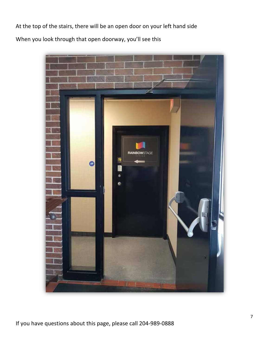At the top of the stairs, there will be an open door on your left hand side

When you look through that open doorway, you'll see this

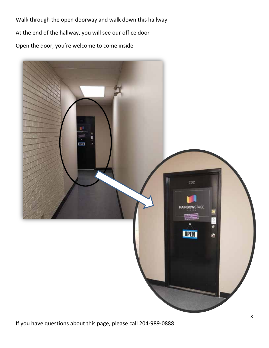Walk through the open doorway and walk down this hallway At the end of the hallway, you will see our office door Open the door, you're welcome to come inside

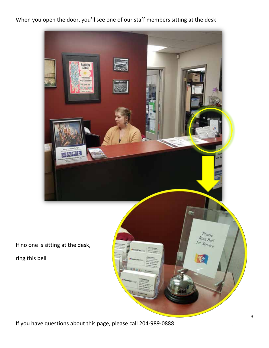When you open the door, you'll see one of our staff members sitting at the desk



If you have questions about this page, please call 204-989-0888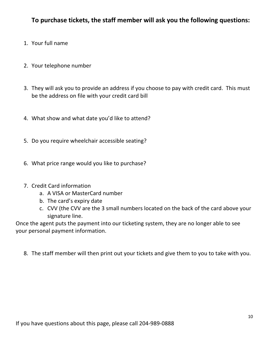#### **To purchase tickets, the staff member will ask you the following questions:**

- 1. Your full name
- 2. Your telephone number
- 3. They will ask you to provide an address if you choose to pay with credit card. This must be the address on file with your credit card bill
- 4. What show and what date you'd like to attend?
- 5. Do you require wheelchair accessible seating?
- 6. What price range would you like to purchase?
- 7. Credit Card information
	- a. A VISA or MasterCard number
	- b. The card's expiry date
	- c. CVV (the CVV are the 3 small numbers located on the back of the card above your signature line.

Once the agent puts the payment into our ticketing system, they are no longer able to see your personal payment information.

8. The staff member will then print out your tickets and give them to you to take with you.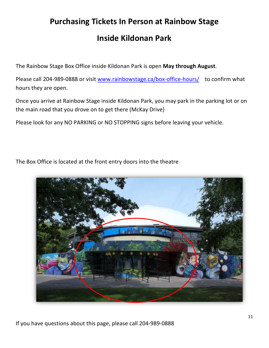# **Purchasing Tickets In Person at Rainbow Stage**

#### **Inside Kildonan Park**

The Rainbow Stage Box Office inside Kildonan Park is open **May through August**.

Please call 204-989-0888 or visit www.rainbowstage.ca/box-office-hours/ to confirm what hours they are open.

Once you arrive at Rainbow Stage inside Kildonan Park, you may park in the parking lot or on the main road that you drove on to get there (McKay Drive)

Please look for any NO PARKING or NO STOPPING signs before leaving your vehicle.

The Box Office is located at the front entry doors into the theatre